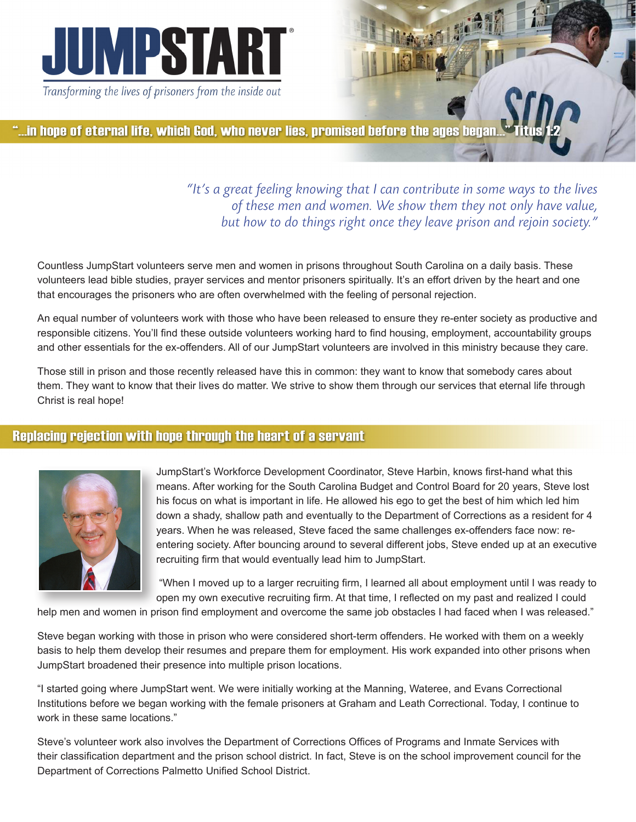

"...in hope of eternal life, which God, who never lies, promised before the ages began.

*"It's a great feeling knowing that I can contribute in some ways to the lives of these men and women. We show them they not only have value, but how to do things right once they leave prison and rejoin society."* 

Countless JumpStart volunteers serve men and women in prisons throughout South Carolina on a daily basis. These volunteers lead bible studies, prayer services and mentor prisoners spiritually. It's an effort driven by the heart and one that encourages the prisoners who are often overwhelmed with the feeling of personal rejection.

An equal number of volunteers work with those who have been released to ensure they re-enter society as productive and responsible citizens. You'll find these outside volunteers working hard to find housing, employment, accountability groups and other essentials for the ex-offenders. All of our JumpStart volunteers are involved in this ministry because they care.

Those still in prison and those recently released have this in common: they want to know that somebody cares about them. They want to know that their lives do matter. We strive to show them through our services that eternal life through Christ is real hope!

## **Replacing rejection with hope through the heart of a servant**



JumpStart's Workforce Development Coordinator, Steve Harbin, knows first-hand what this means. After working for the South Carolina Budget and Control Board for 20 years, Steve lost his focus on what is important in life. He allowed his ego to get the best of him which led him down a shady, shallow path and eventually to the Department of Corrections as a resident for 4 years. When he was released, Steve faced the same challenges ex-offenders face now: reentering society. After bouncing around to several different jobs, Steve ended up at an executive recruiting firm that would eventually lead him to JumpStart.

 "When I moved up to a larger recruiting firm, I learned all about employment until I was ready to open my own executive recruiting firm. At that time, I reflected on my past and realized I could

help men and women in prison find employment and overcome the same job obstacles I had faced when I was released."

Steve began working with those in prison who were considered short-term offenders. He worked with them on a weekly basis to help them develop their resumes and prepare them for employment. His work expanded into other prisons when JumpStart broadened their presence into multiple prison locations.

"I started going where JumpStart went. We were initially working at the Manning, Wateree, and Evans Correctional Institutions before we began working with the female prisoners at Graham and Leath Correctional. Today, I continue to work in these same locations."

Steve's volunteer work also involves the Department of Corrections Offices of Programs and Inmate Services with their classification department and the prison school district. In fact, Steve is on the school improvement council for the Department of Corrections Palmetto Unified School District.